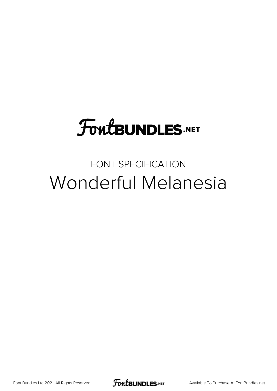## **FoutBUNDLES.NET**

### FONT SPECIFICATION Wonderful Melanesia

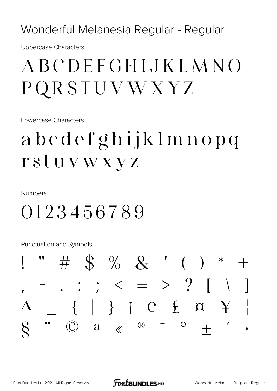Wonderful Melanesia Regular - Regular

**Uppercase Characters** 

## ABCDEFGHIJKLMNO PQRSTUVWXYZ

Lowercase Characters

## abcdefghijklmnopq rstuvwxyz

**Numbers** 

### 0123456789

Punctuation and Symbols

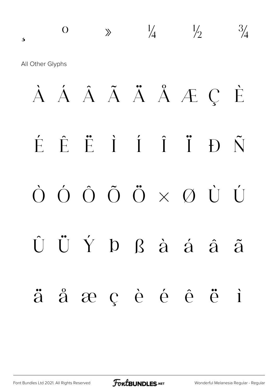## ¸ º » ¼ ½ ¾ All Other Glyphs À Á Â Ã Ä Å Æ Ç È É Ê Ë Ì Í Î Ï Ð Ñ Ò Ó Ô Õ Ö × Ø Ù Ú Û Ü Ý Þ ß à á â ã ä å æ ç è é ê ë ì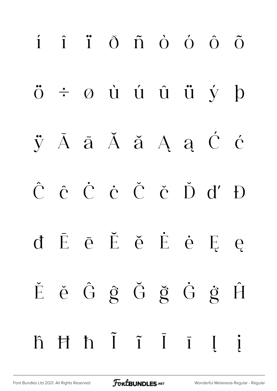# í î ï ð ñ ò ó ô õ ö ÷ ø ù ú û ü ý þ ÿ Ā ā Ă ă Ą ą Ć ć Ĉ ĉ Ċ ċ Č č Ď ď Đ đ Ē ē Ĕ ĕ Ė ė Ę ę Ě ě Ĝ ĝ Ğ ğ Ġ ġ Ĥ ĥ Ħ ħ Ĩ ĩ Ī ī Į į

[Font Bundles Ltd 2021. All Rights Reserved](https://fontbundles.net/) **FoutBUNDLES.NET** [Wonderful Melanesia Regular - Regular](https://fontbundles.net/)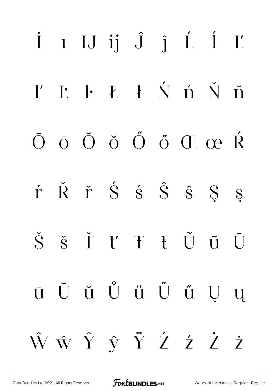# $i$  1 IJ  $ii$   $j$   $j$   $j$   $j$   $j$  $\mathbf{I}'$   $\mathbf{I}'$   $\mathbf{I}$   $\mathbf{I}$   $\mathbf{I}$   $\mathbf{N}$   $\mathbf{I}$   $\mathbf{N}$   $\mathbf{N}$   $\mathbf{N}$  $\bar{O}$   $\bar{O}$   $\bar{O}$   $\tilde{O}$   $\tilde{O}$   $\tilde{O}$   $\tilde{C}$   $\tilde{C}$   $\tilde{R}$ r Ř ř Š š Š ŝ Ş ş Š š Ť ť Ŧ ŧ Ũ ũ Ū ū Ŭ ŭ Ů ů Ű ű Ű ű Ų ų ŴŵŶŷŸŹźŻŻ

**FoutBUNDLES**.NET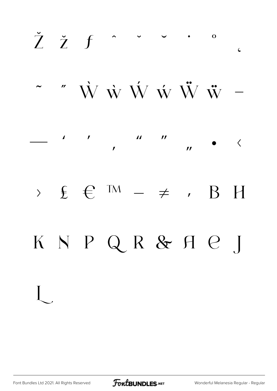

FontBUNDLES.NET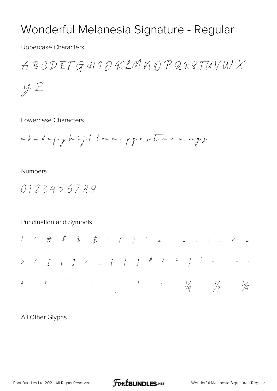### Wonderful Melanesia Signature - Regular

**Uppercase Characters** 

ABCDEFG HIDKLMMDPQRSTUVWX

 $yZ$ 

Lowercase Characters

abudepghijklmn-pgrotarmaxyz

#### **Numbers**

0123456789

#### Punctuation and Symbols



### All Other Glyphs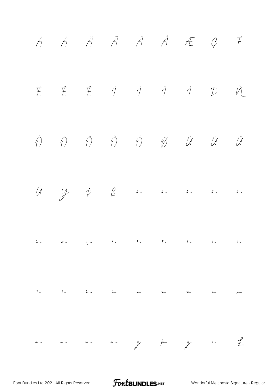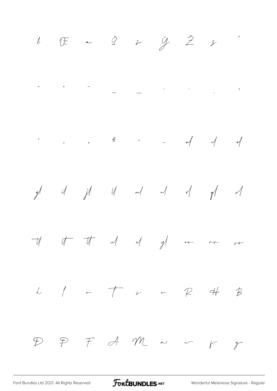

FoutBUNDLES.NET